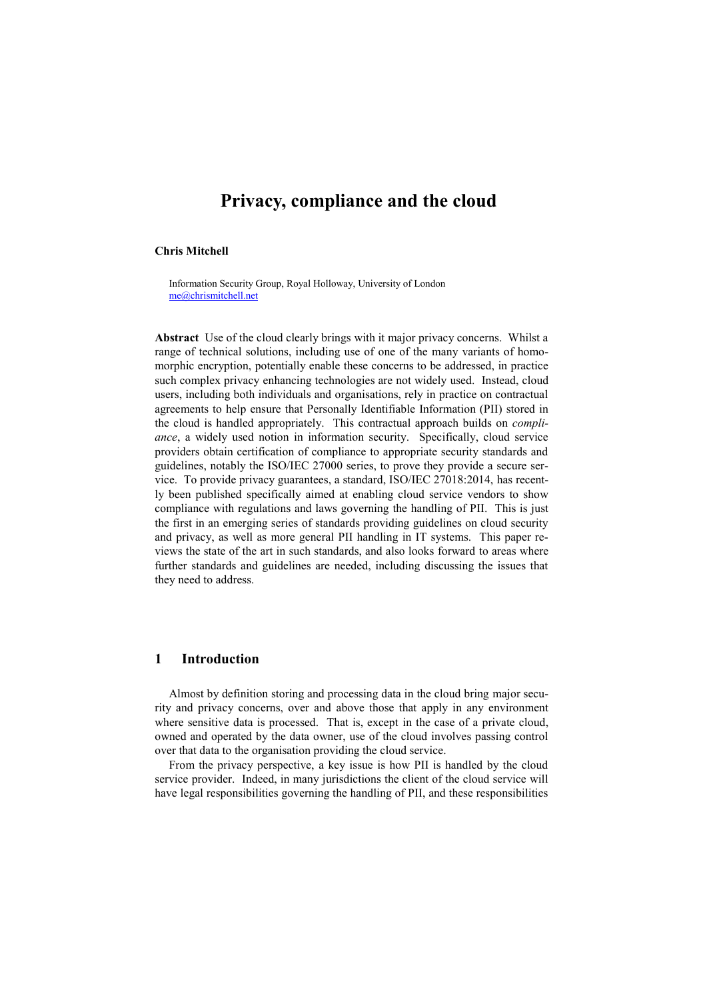# **Privacy, compliance and the cloud**

#### **Chris Mitchell**

Information Security Group, Royal Holloway, University of London [me@chrismitchell.net](mailto:me@chrismitchell.net)

**Abstract** Use of the cloud clearly brings with it major privacy concerns. Whilst a range of technical solutions, including use of one of the many variants of homomorphic encryption, potentially enable these concerns to be addressed, in practice such complex privacy enhancing technologies are not widely used. Instead, cloud users, including both individuals and organisations, rely in practice on contractual agreements to help ensure that Personally Identifiable Information (PII) stored in the cloud is handled appropriately. This contractual approach builds on *compliance*, a widely used notion in information security. Specifically, cloud service providers obtain certification of compliance to appropriate security standards and guidelines, notably the ISO/IEC 27000 series, to prove they provide a secure service. To provide privacy guarantees, a standard, ISO/IEC 27018:2014, has recently been published specifically aimed at enabling cloud service vendors to show compliance with regulations and laws governing the handling of PII. This is just the first in an emerging series of standards providing guidelines on cloud security and privacy, as well as more general PII handling in IT systems. This paper reviews the state of the art in such standards, and also looks forward to areas where further standards and guidelines are needed, including discussing the issues that they need to address.

## **1 Introduction**

Almost by definition storing and processing data in the cloud bring major security and privacy concerns, over and above those that apply in any environment where sensitive data is processed. That is, except in the case of a private cloud, owned and operated by the data owner, use of the cloud involves passing control over that data to the organisation providing the cloud service.

From the privacy perspective, a key issue is how PII is handled by the cloud service provider. Indeed, in many jurisdictions the client of the cloud service will have legal responsibilities governing the handling of PII, and these responsibilities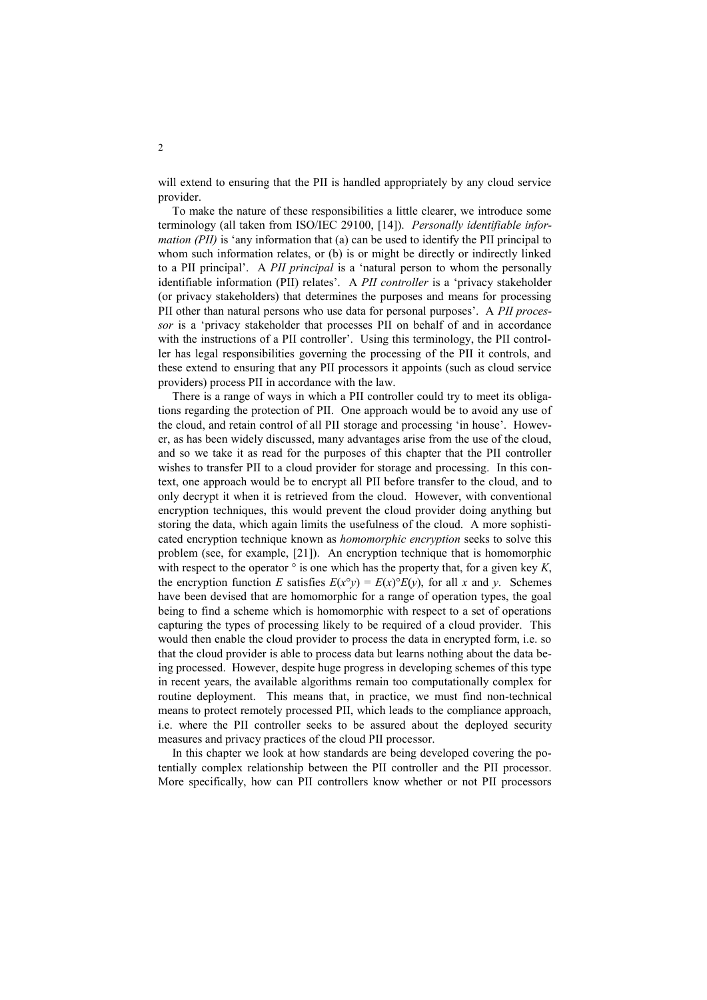will extend to ensuring that the PII is handled appropriately by any cloud service provider.

To make the nature of these responsibilities a little clearer, we introduce some terminology (all taken from ISO/IEC 29100, [\[14\]\)](#page-10-0). *Personally identifiable information (PII)* is 'any information that (a) can be used to identify the PII principal to whom such information relates, or (b) is or might be directly or indirectly linked to a PII principal'. A *PII principal* is a 'natural person to whom the personally identifiable information (PII) relates'. A *PII controller* is a 'privacy stakeholder (or privacy stakeholders) that determines the purposes and means for processing PII other than natural persons who use data for personal purposes'. A *PII processor* is a 'privacy stakeholder that processes PII on behalf of and in accordance with the instructions of a PII controller'. Using this terminology, the PII controller has legal responsibilities governing the processing of the PII it controls, and these extend to ensuring that any PII processors it appoints (such as cloud service providers) process PII in accordance with the law.

There is a range of ways in which a PII controller could try to meet its obligations regarding the protection of PII. One approach would be to avoid any use of the cloud, and retain control of all PII storage and processing 'in house'. However, as has been widely discussed, many advantages arise from the use of the cloud, and so we take it as read for the purposes of this chapter that the PII controller wishes to transfer PII to a cloud provider for storage and processing. In this context, one approach would be to encrypt all PII before transfer to the cloud, and to only decrypt it when it is retrieved from the cloud. However, with conventional encryption techniques, this would prevent the cloud provider doing anything but storing the data, which again limits the usefulness of the cloud. A more sophisticated encryption technique known as *homomorphic encryption* seeks to solve this problem (see, for example, [\[21\]\)](#page-11-0). An encryption technique that is homomorphic with respect to the operator  $\circ$  is one which has the property that, for a given key  $K$ , the encryption function *E* satisfies  $E(x^{\circ}y) = E(x)^{\circ}E(y)$ , for all *x* and *y*. Schemes have been devised that are homomorphic for a range of operation types, the goal being to find a scheme which is homomorphic with respect to a set of operations capturing the types of processing likely to be required of a cloud provider. This would then enable the cloud provider to process the data in encrypted form, i.e. so that the cloud provider is able to process data but learns nothing about the data being processed. However, despite huge progress in developing schemes of this type in recent years, the available algorithms remain too computationally complex for routine deployment. This means that, in practice, we must find non-technical means to protect remotely processed PII, which leads to the compliance approach, i.e. where the PII controller seeks to be assured about the deployed security measures and privacy practices of the cloud PII processor.

In this chapter we look at how standards are being developed covering the potentially complex relationship between the PII controller and the PII processor. More specifically, how can PII controllers know whether or not PII processors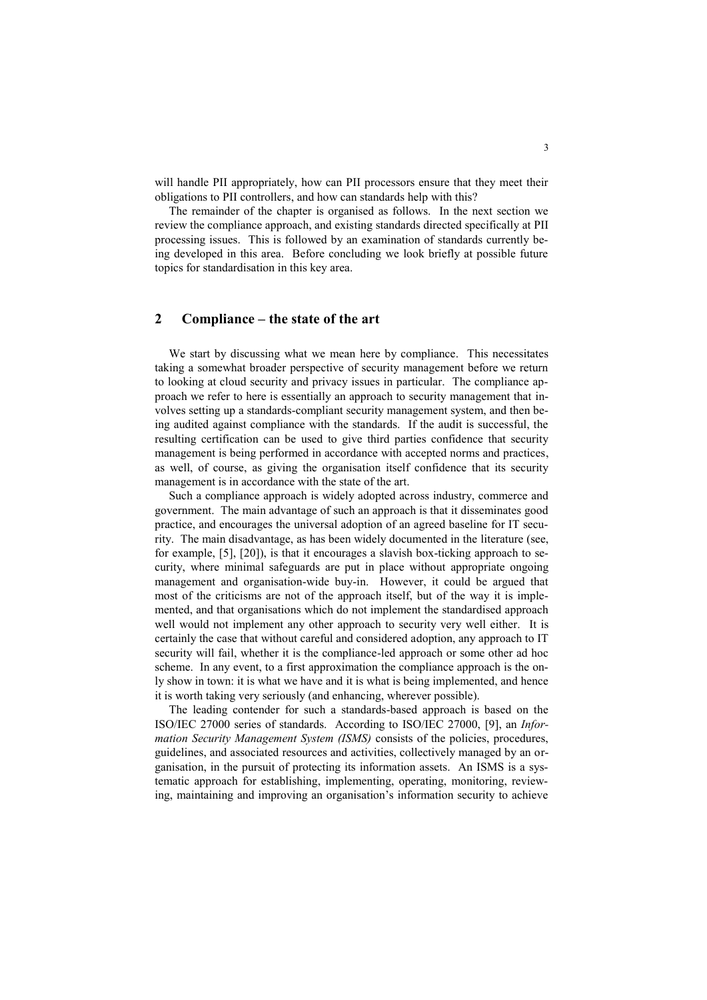will handle PII appropriately, how can PII processors ensure that they meet their obligations to PII controllers, and how can standards help with this?

The remainder of the chapter is organised as follows. In the next section we review the compliance approach, and existing standards directed specifically at PII processing issues. This is followed by an examination of standards currently being developed in this area. Before concluding we look briefly at possible future topics for standardisation in this key area.

#### **2 Compliance – the state of the art**

We start by discussing what we mean here by compliance. This necessitates taking a somewhat broader perspective of security management before we return to looking at cloud security and privacy issues in particular. The compliance approach we refer to here is essentially an approach to security management that involves setting up a standards-compliant security management system, and then being audited against compliance with the standards. If the audit is successful, the resulting certification can be used to give third parties confidence that security management is being performed in accordance with accepted norms and practices, as well, of course, as giving the organisation itself confidence that its security management is in accordance with the state of the art.

Such a compliance approach is widely adopted across industry, commerce and government. The main advantage of such an approach is that it disseminates good practice, and encourages the universal adoption of an agreed baseline for IT security. The main disadvantage, as has been widely documented in the literature (see, for example, [\[5\],](#page-10-1) [\[20\]\)](#page-11-1), is that it encourages a slavish box-ticking approach to security, where minimal safeguards are put in place without appropriate ongoing management and organisation-wide buy-in. However, it could be argued that most of the criticisms are not of the approach itself, but of the way it is implemented, and that organisations which do not implement the standardised approach well would not implement any other approach to security very well either. It is certainly the case that without careful and considered adoption, any approach to IT security will fail, whether it is the compliance-led approach or some other ad hoc scheme. In any event, to a first approximation the compliance approach is the only show in town: it is what we have and it is what is being implemented, and hence it is worth taking very seriously (and enhancing, wherever possible).

The leading contender for such a standards-based approach is based on the ISO/IEC 27000 series of standards. According to ISO/IEC 27000, [\[9\],](#page-10-2) an *Information Security Management System (ISMS)* consists of the policies, procedures, guidelines, and associated resources and activities, collectively managed by an organisation, in the pursuit of protecting its information assets. An ISMS is a systematic approach for establishing, implementing, operating, monitoring, reviewing, maintaining and improving an organisation's information security to achieve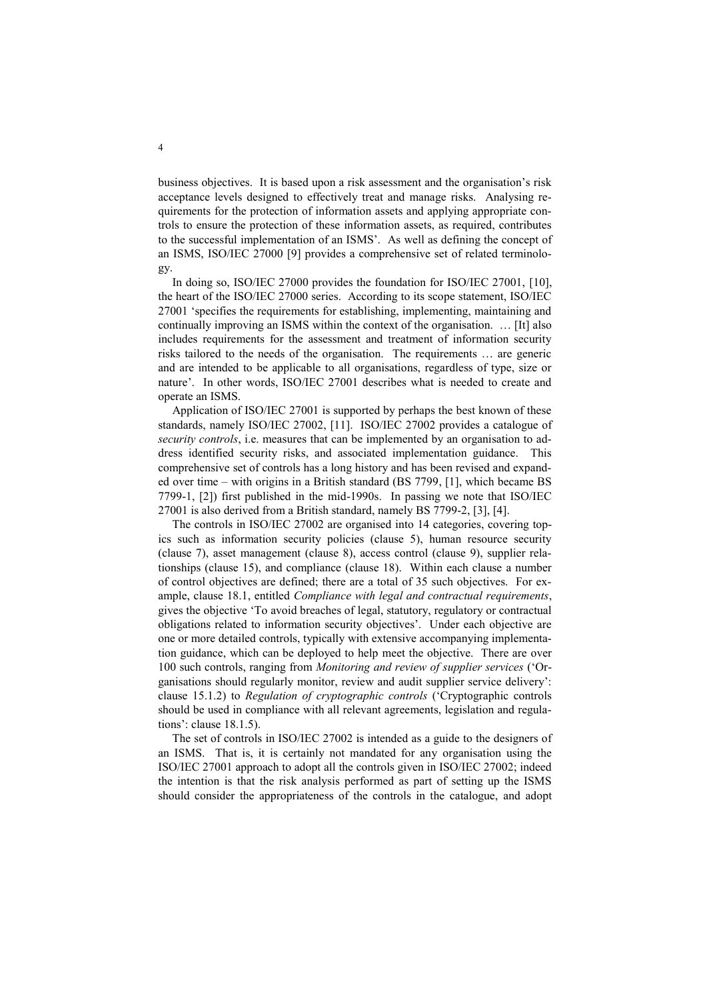business objectives. It is based upon a risk assessment and the organisation's risk acceptance levels designed to effectively treat and manage risks. Analysing requirements for the protection of information assets and applying appropriate controls to ensure the protection of these information assets, as required, contributes to the successful implementation of an ISMS'. As well as defining the concept of an ISMS, ISO/IEC 27000 [\[9\]](#page-10-2) provides a comprehensive set of related terminology.

In doing so, ISO/IEC 27000 provides the foundation for ISO/IEC 27001, [\[10\],](#page-10-3)  the heart of the ISO/IEC 27000 series. According to its scope statement, ISO/IEC 27001 'specifies the requirements for establishing, implementing, maintaining and continually improving an ISMS within the context of the organisation. … [It] also includes requirements for the assessment and treatment of information security risks tailored to the needs of the organisation. The requirements … are generic and are intended to be applicable to all organisations, regardless of type, size or nature'. In other words, ISO/IEC 27001 describes what is needed to create and operate an ISMS.

Application of ISO/IEC 27001 is supported by perhaps the best known of these standards, namely ISO/IEC 27002, [\[11\].](#page-10-4) ISO/IEC 27002 provides a catalogue of *security controls*, i.e. measures that can be implemented by an organisation to address identified security risks, and associated implementation guidance. This comprehensive set of controls has a long history and has been revised and expanded over time – with origins in a British standard (BS 7799, [\[1\],](#page-10-5) which became BS 7799-1, [\[2\]\)](#page-10-6) first published in the mid-1990s. In passing we note that ISO/IEC 27001 is also derived from a British standard, namely BS 7799-2[, \[3\],](#page-10-7) [\[4\].](#page-10-8)

The controls in ISO/IEC 27002 are organised into 14 categories, covering topics such as information security policies (clause 5), human resource security (clause 7), asset management (clause 8), access control (clause 9), supplier relationships (clause 15), and compliance (clause 18). Within each clause a number of control objectives are defined; there are a total of 35 such objectives. For example, clause 18.1, entitled *Compliance with legal and contractual requirements*, gives the objective 'To avoid breaches of legal, statutory, regulatory or contractual obligations related to information security objectives'. Under each objective are one or more detailed controls, typically with extensive accompanying implementation guidance, which can be deployed to help meet the objective. There are over 100 such controls, ranging from *Monitoring and review of supplier services* ('Organisations should regularly monitor, review and audit supplier service delivery': clause 15.1.2) to *Regulation of cryptographic controls* ('Cryptographic controls should be used in compliance with all relevant agreements, legislation and regulations': clause 18.1.5).

The set of controls in ISO/IEC 27002 is intended as a guide to the designers of an ISMS. That is, it is certainly not mandated for any organisation using the ISO/IEC 27001 approach to adopt all the controls given in ISO/IEC 27002; indeed the intention is that the risk analysis performed as part of setting up the ISMS should consider the appropriateness of the controls in the catalogue, and adopt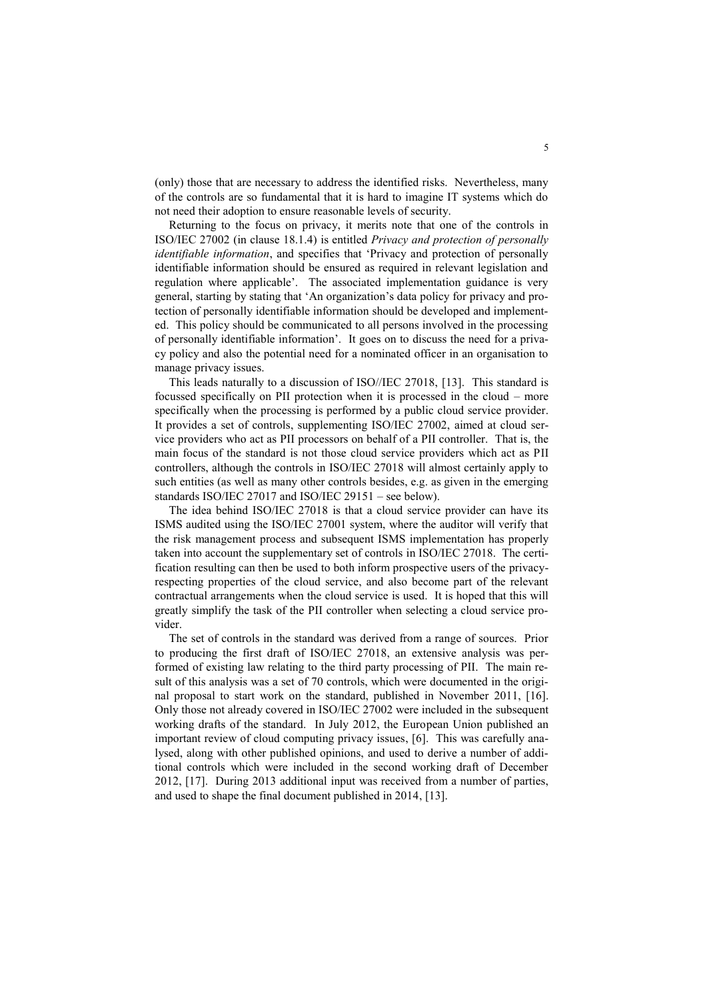(only) those that are necessary to address the identified risks. Nevertheless, many of the controls are so fundamental that it is hard to imagine IT systems which do not need their adoption to ensure reasonable levels of security.

Returning to the focus on privacy, it merits note that one of the controls in ISO/IEC 27002 (in clause 18.1.4) is entitled *Privacy and protection of personally identifiable information*, and specifies that 'Privacy and protection of personally identifiable information should be ensured as required in relevant legislation and regulation where applicable'. The associated implementation guidance is very general, starting by stating that 'An organization's data policy for privacy and protection of personally identifiable information should be developed and implemented. This policy should be communicated to all persons involved in the processing of personally identifiable information'. It goes on to discuss the need for a privacy policy and also the potential need for a nominated officer in an organisation to manage privacy issues.

This leads naturally to a discussion of ISO//IEC 27018, [\[13\].](#page-10-9) This standard is focussed specifically on PII protection when it is processed in the cloud – more specifically when the processing is performed by a public cloud service provider. It provides a set of controls, supplementing ISO/IEC 27002, aimed at cloud service providers who act as PII processors on behalf of a PII controller. That is, the main focus of the standard is not those cloud service providers which act as PII controllers, although the controls in ISO/IEC 27018 will almost certainly apply to such entities (as well as many other controls besides, e.g. as given in the emerging standards ISO/IEC 27017 and ISO/IEC 29151 – see below).

The idea behind ISO/IEC 27018 is that a cloud service provider can have its ISMS audited using the ISO/IEC 27001 system, where the auditor will verify that the risk management process and subsequent ISMS implementation has properly taken into account the supplementary set of controls in ISO/IEC 27018. The certification resulting can then be used to both inform prospective users of the privacyrespecting properties of the cloud service, and also become part of the relevant contractual arrangements when the cloud service is used. It is hoped that this will greatly simplify the task of the PII controller when selecting a cloud service provider.

The set of controls in the standard was derived from a range of sources. Prior to producing the first draft of ISO/IEC 27018, an extensive analysis was performed of existing law relating to the third party processing of PII. The main result of this analysis was a set of 70 controls, which were documented in the original proposal to start work on the standard, published in November 2011, [\[16\].](#page-10-10) Only those not already covered in ISO/IEC 27002 were included in the subsequent working drafts of the standard. In July 2012, the European Union published an important review of cloud computing privacy issues, [\[6\].](#page-10-11) This was carefully analysed, along with other published opinions, and used to derive a number of additional controls which were included in the second working draft of December 2012, [\[17\].](#page-10-12) During 2013 additional input was received from a number of parties, and used to shape the final document published in 2014, [\[13\].](#page-10-9)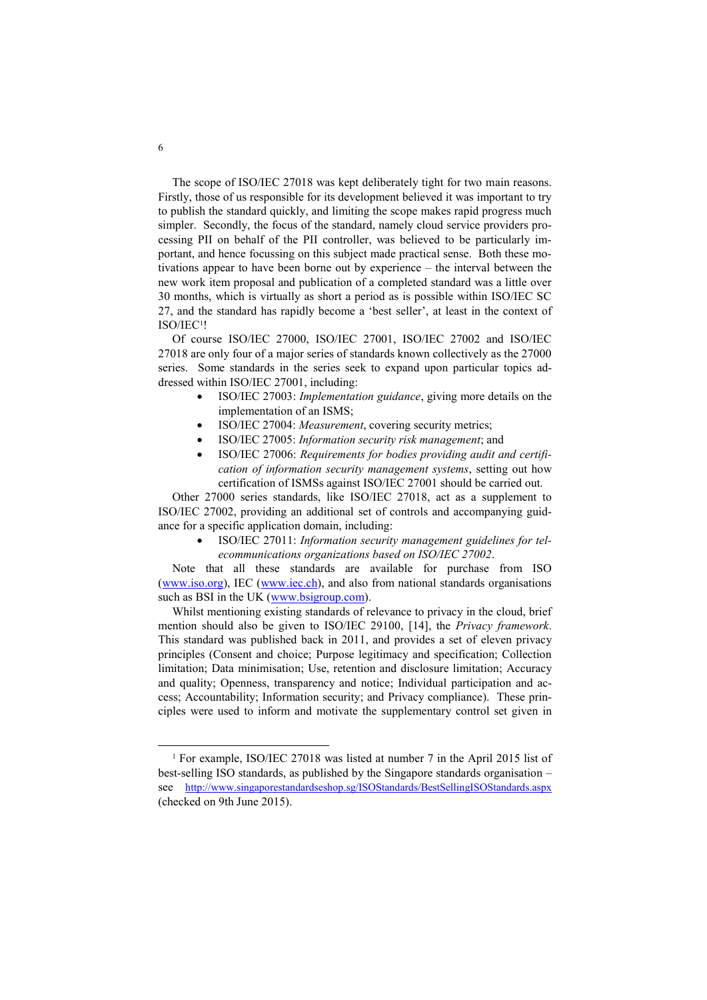The scope of ISO/IEC 27018 was kept deliberately tight for two main reasons. Firstly, those of us responsible for its development believed it was important to try to publish the standard quickly, and limiting the scope makes rapid progress much simpler. Secondly, the focus of the standard, namely cloud service providers processing PII on behalf of the PII controller, was believed to be particularly important, and hence focussing on this subject made practical sense. Both these motivations appear to have been borne out by experience – the interval between the new work item proposal and publication of a completed standard was a little over 30 months, which is virtually as short a period as is possible within ISO/IEC SC 27, and the standard has rapidly become a 'best seller', at least in the context of ISO/IEC<sup>1</sup> !

Of course ISO/IEC 27000, ISO/IEC 27001, ISO/IEC 27002 and ISO/IEC 27018 are only four of a major series of standards known collectively as the 27000 series. Some standards in the series seek to expand upon particular topics addressed within ISO/IEC 27001, including:

- ISO/IEC 27003: *Implementation guidance*, giving more details on the implementation of an ISMS;
- ISO/IEC 27004: *Measurement*, covering security metrics;
- ISO/IEC 27005: *Information security risk management*; and
- ISO/IEC 27006: *Requirements for bodies providing audit and certification of information security management systems*, setting out how certification of ISMSs against ISO/IEC 27001 should be carried out.

Other 27000 series standards, like ISO/IEC 27018, act as a supplement to ISO/IEC 27002, providing an additional set of controls and accompanying guidance for a specific application domain, including:

> ISO/IEC 27011: *Information security management guidelines for telecommunications organizations based on ISO/IEC 27002*.

Note that all these standards are available for purchase from ISO [\(www.iso.org\)](http://www.iso.org/), IEC [\(www.iec.ch\)](http://www.iec.ch/), and also from national standards organisations such as BSI in the UK [\(www.bsigroup.com\)](http://www.bsigroup.com/).

Whilst mentioning existing standards of relevance to privacy in the cloud, brief mention should also be given to ISO/IEC 29100, [\[14\],](#page-10-0) the *Privacy framework*. This standard was published back in 2011, and provides a set of eleven privacy principles (Consent and choice; Purpose legitimacy and specification; Collection limitation; Data minimisation; Use, retention and disclosure limitation; Accuracy and quality; Openness, transparency and notice; Individual participation and access; Accountability; Information security; and Privacy compliance). These principles were used to inform and motivate the supplementary control set given in

6

-

<sup>1</sup> For example, ISO/IEC 27018 was listed at number 7 in the April 2015 list of best-selling ISO standards, as published by the Singapore standards organisation – see <http://www.singaporestandardseshop.sg/ISOStandards/BestSellingISOStandards.aspx> (checked on 9th June 2015).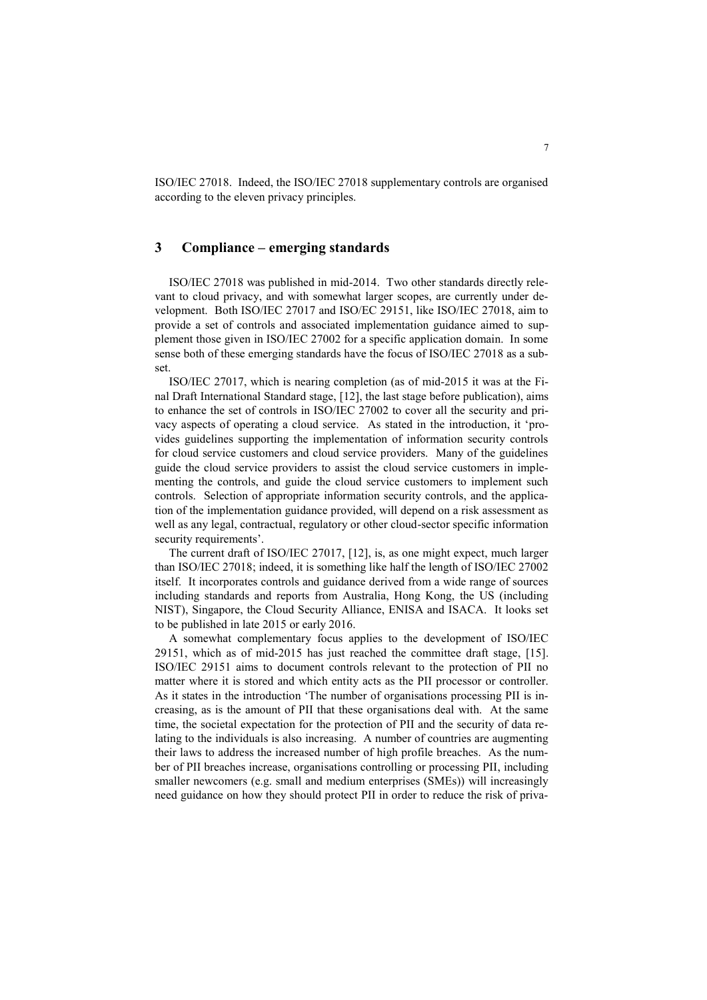ISO/IEC 27018. Indeed, the ISO/IEC 27018 supplementary controls are organised according to the eleven privacy principles.

## **3 Compliance – emerging standards**

ISO/IEC 27018 was published in mid-2014. Two other standards directly relevant to cloud privacy, and with somewhat larger scopes, are currently under development. Both ISO/IEC 27017 and ISO/EC 29151, like ISO/IEC 27018, aim to provide a set of controls and associated implementation guidance aimed to supplement those given in ISO/IEC 27002 for a specific application domain. In some sense both of these emerging standards have the focus of ISO/IEC 27018 as a subset.

ISO/IEC 27017, which is nearing completion (as of mid-2015 it was at the Final Draft International Standard stage, [\[12\],](#page-10-13) the last stage before publication), aims to enhance the set of controls in ISO/IEC 27002 to cover all the security and privacy aspects of operating a cloud service. As stated in the introduction, it 'provides guidelines supporting the implementation of information security controls for cloud service customers and cloud service providers. Many of the guidelines guide the cloud service providers to assist the cloud service customers in implementing the controls, and guide the cloud service customers to implement such controls. Selection of appropriate information security controls, and the application of the implementation guidance provided, will depend on a risk assessment as well as any legal, contractual, regulatory or other cloud-sector specific information security requirements'.

The current draft of ISO/IEC 27017, [\[12\],](#page-10-13) is, as one might expect, much larger than ISO/IEC 27018; indeed, it is something like half the length of ISO/IEC 27002 itself. It incorporates controls and guidance derived from a wide range of sources including standards and reports from Australia, Hong Kong, the US (including NIST), Singapore, the Cloud Security Alliance, ENISA and ISACA. It looks set to be published in late 2015 or early 2016.

A somewhat complementary focus applies to the development of ISO/IEC 29151, which as of mid-2015 has just reached the committee draft stage, [\[15\].](#page-10-14) ISO/IEC 29151 aims to document controls relevant to the protection of PII no matter where it is stored and which entity acts as the PII processor or controller. As it states in the introduction 'The number of organisations processing PII is increasing, as is the amount of PII that these organisations deal with. At the same time, the societal expectation for the protection of PII and the security of data relating to the individuals is also increasing. A number of countries are augmenting their laws to address the increased number of high profile breaches. As the number of PII breaches increase, organisations controlling or processing PII, including smaller newcomers (e.g. small and medium enterprises (SMEs)) will increasingly need guidance on how they should protect PII in order to reduce the risk of priva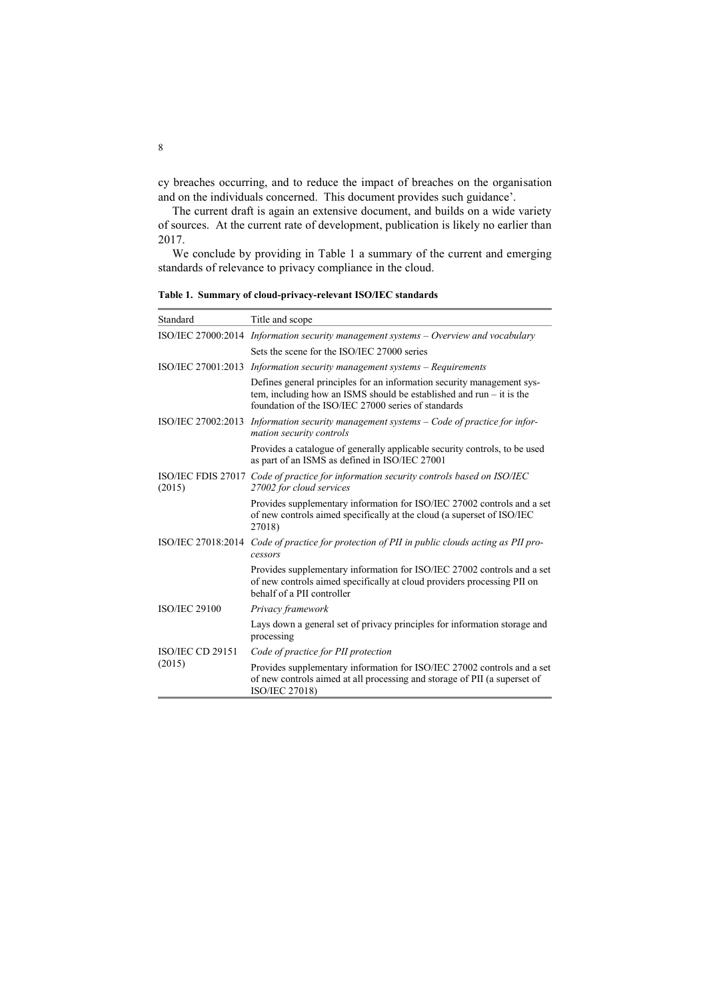cy breaches occurring, and to reduce the impact of breaches on the organisation and on the individuals concerned. This document provides such guidance'.

The current draft is again an extensive document, and builds on a wide variety of sources. At the current rate of development, publication is likely no earlier than 2017.

We conclude by providing in Table 1 a summary of the current and emerging standards of relevance to privacy compliance in the cloud.

**Table 1. Summary of cloud-privacy-relevant ISO/IEC standards**

| Standard                          | Title and scope                                                                                                                                                                                         |
|-----------------------------------|---------------------------------------------------------------------------------------------------------------------------------------------------------------------------------------------------------|
|                                   | ISO/IEC 27000:2014 Information security management systems – Overview and vocabulary                                                                                                                    |
|                                   | Sets the scene for the ISO/IEC 27000 series                                                                                                                                                             |
| ISO/IEC 27001:2013                | Information security management systems $-$ Requirements                                                                                                                                                |
|                                   | Defines general principles for an information security management sys-<br>tem, including how an ISMS should be established and $run - it$ is the<br>foundation of the ISO/IEC 27000 series of standards |
|                                   | ISO/IEC 27002:2013 Information security management systems - Code of practice for infor-<br>mation security controls                                                                                    |
|                                   | Provides a catalogue of generally applicable security controls, to be used<br>as part of an ISMS as defined in ISO/IEC 27001                                                                            |
| (2015)                            | ISO/IEC FDIS 27017 Code of practice for information security controls based on ISO/IEC<br>27002 for cloud services                                                                                      |
|                                   | Provides supplementary information for ISO/IEC 27002 controls and a set<br>of new controls aimed specifically at the cloud (a superset of ISO/IEC<br>27018)                                             |
| ISO/IEC 27018:2014                | Code of practice for protection of PII in public clouds acting as PII pro-<br>cessors                                                                                                                   |
|                                   | Provides supplementary information for ISO/IEC 27002 controls and a set<br>of new controls aimed specifically at cloud providers processing PII on<br>behalf of a PII controller                        |
| <b>ISO/IEC 29100</b>              | Privacy framework                                                                                                                                                                                       |
|                                   | Lays down a general set of privacy principles for information storage and<br>processing                                                                                                                 |
| <b>ISO/IEC CD 29151</b><br>(2015) | Code of practice for PII protection                                                                                                                                                                     |
|                                   | Provides supplementary information for ISO/IEC 27002 controls and a set<br>of new controls aimed at all processing and storage of PII (a superset of<br><b>ISO/IEC 27018)</b>                           |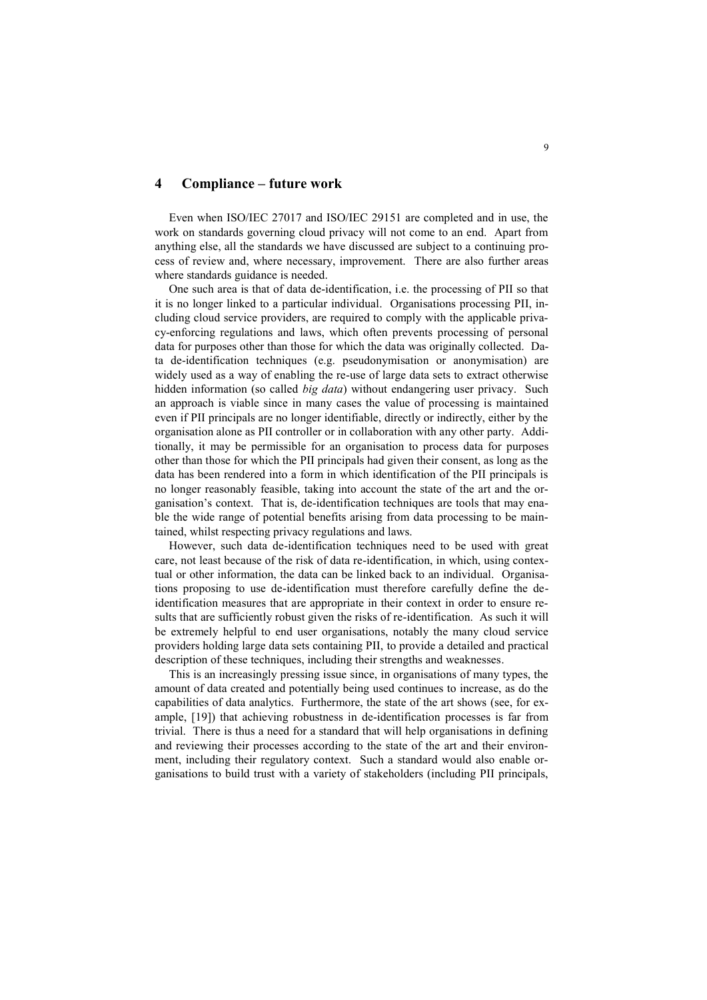#### **4 Compliance – future work**

Even when ISO/IEC 27017 and ISO/IEC 29151 are completed and in use, the work on standards governing cloud privacy will not come to an end. Apart from anything else, all the standards we have discussed are subject to a continuing process of review and, where necessary, improvement. There are also further areas where standards guidance is needed.

One such area is that of data de-identification, i.e. the processing of PII so that it is no longer linked to a particular individual. Organisations processing PII, including cloud service providers, are required to comply with the applicable privacy-enforcing regulations and laws, which often prevents processing of personal data for purposes other than those for which the data was originally collected. Data de-identification techniques (e.g. pseudonymisation or anonymisation) are widely used as a way of enabling the re-use of large data sets to extract otherwise hidden information (so called *big data*) without endangering user privacy. Such an approach is viable since in many cases the value of processing is maintained even if PII principals are no longer identifiable, directly or indirectly, either by the organisation alone as PII controller or in collaboration with any other party. Additionally, it may be permissible for an organisation to process data for purposes other than those for which the PII principals had given their consent, as long as the data has been rendered into a form in which identification of the PII principals is no longer reasonably feasible, taking into account the state of the art and the organisation's context. That is, de-identification techniques are tools that may enable the wide range of potential benefits arising from data processing to be maintained, whilst respecting privacy regulations and laws.

However, such data de-identification techniques need to be used with great care, not least because of the risk of data re-identification, in which, using contextual or other information, the data can be linked back to an individual. Organisations proposing to use de-identification must therefore carefully define the deidentification measures that are appropriate in their context in order to ensure results that are sufficiently robust given the risks of re-identification. As such it will be extremely helpful to end user organisations, notably the many cloud service providers holding large data sets containing PII, to provide a detailed and practical description of these techniques, including their strengths and weaknesses.

This is an increasingly pressing issue since, in organisations of many types, the amount of data created and potentially being used continues to increase, as do the capabilities of data analytics. Furthermore, the state of the art shows (see, for example, [\[19\]\)](#page-11-2) that achieving robustness in de-identification processes is far from trivial. There is thus a need for a standard that will help organisations in defining and reviewing their processes according to the state of the art and their environment, including their regulatory context. Such a standard would also enable organisations to build trust with a variety of stakeholders (including PII principals,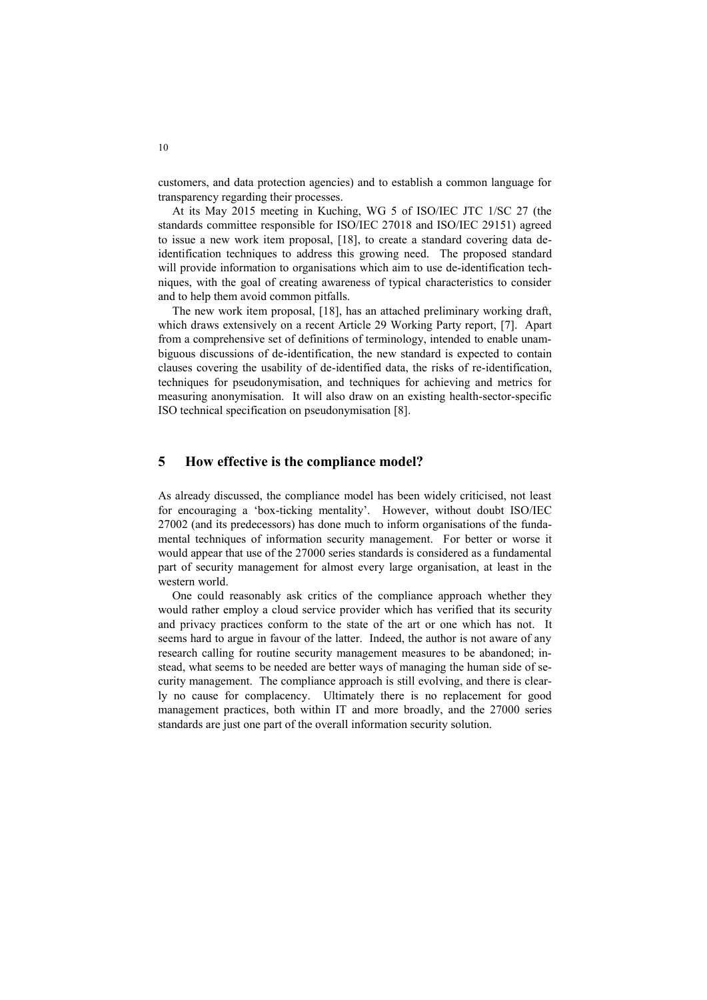customers, and data protection agencies) and to establish a common language for transparency regarding their processes.

At its May 2015 meeting in Kuching, WG 5 of ISO/IEC JTC 1/SC 27 (the standards committee responsible for ISO/IEC 27018 and ISO/IEC 29151) agreed to issue a new work item proposal, [\[18\],](#page-10-15) to create a standard covering data deidentification techniques to address this growing need. The proposed standard will provide information to organisations which aim to use de-identification techniques, with the goal of creating awareness of typical characteristics to consider and to help them avoid common pitfalls.

The new work item proposal, [\[18\],](#page-10-15) has an attached preliminary working draft, which draws extensively on a recent Article 29 Working Party report, [\[7\].](#page-10-16) Apart from a comprehensive set of definitions of terminology, intended to enable unambiguous discussions of de-identification, the new standard is expected to contain clauses covering the usability of de-identified data, the risks of re-identification, techniques for pseudonymisation, and techniques for achieving and metrics for measuring anonymisation. It will also draw on an existing health-sector-specific ISO technical specification on pseudonymisation [\[8\].](#page-10-17)

## **5 How effective is the compliance model?**

As already discussed, the compliance model has been widely criticised, not least for encouraging a 'box-ticking mentality'. However, without doubt ISO/IEC 27002 (and its predecessors) has done much to inform organisations of the fundamental techniques of information security management. For better or worse it would appear that use of the 27000 series standards is considered as a fundamental part of security management for almost every large organisation, at least in the western world.

One could reasonably ask critics of the compliance approach whether they would rather employ a cloud service provider which has verified that its security and privacy practices conform to the state of the art or one which has not. It seems hard to argue in favour of the latter. Indeed, the author is not aware of any research calling for routine security management measures to be abandoned; instead, what seems to be needed are better ways of managing the human side of security management. The compliance approach is still evolving, and there is clearly no cause for complacency. Ultimately there is no replacement for good management practices, both within IT and more broadly, and the 27000 series standards are just one part of the overall information security solution.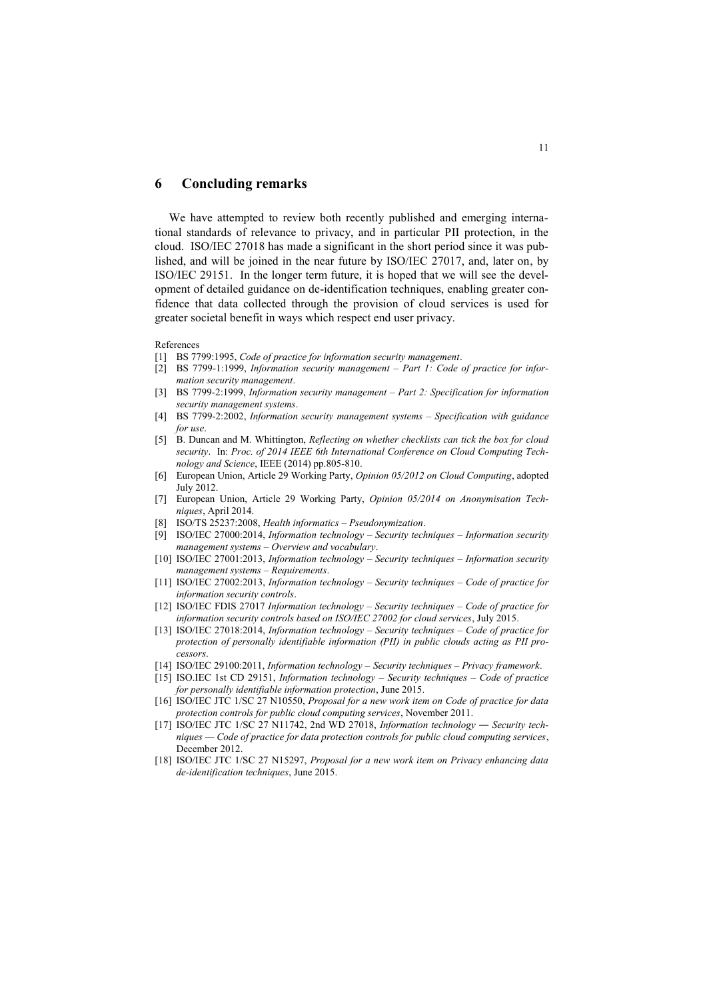#### **6 Concluding remarks**

We have attempted to review both recently published and emerging international standards of relevance to privacy, and in particular PII protection, in the cloud. ISO/IEC 27018 has made a significant in the short period since it was published, and will be joined in the near future by ISO/IEC 27017, and, later on, by ISO/IEC 29151. In the longer term future, it is hoped that we will see the development of detailed guidance on de-identification techniques, enabling greater confidence that data collected through the provision of cloud services is used for greater societal benefit in ways which respect end user privacy.

References

- <span id="page-10-5"></span>[1] BS 7799:1995, *Code of practice for information security management*.
- <span id="page-10-6"></span>[2] BS 7799-1:1999, *Information security management – Part 1: Code of practice for information security management*.
- <span id="page-10-7"></span>[3] BS 7799-2:1999, *Information security management – Part 2: Specification for information security management systems*.
- <span id="page-10-8"></span>[4] BS 7799-2:2002, *Information security management systems – Specification with guidance for use*.
- <span id="page-10-1"></span>[5] B. Duncan and M. Whittington, *Reflecting on whether checklists can tick the box for cloud security*. In: *Proc. of 2014 IEEE 6th International Conference on Cloud Computing Technology and Science*, IEEE (2014) pp.805-810.
- <span id="page-10-11"></span>[6] European Union, Article 29 Working Party, *Opinion 05/2012 on Cloud Computing*, adopted July 2012.
- <span id="page-10-16"></span>[7] European Union, Article 29 Working Party, *Opinion 05/2014 on Anonymisation Techniques*, April 2014.
- <span id="page-10-17"></span>[8] ISO/TS 25237:2008, *Health informatics – Pseudonymization*.
- <span id="page-10-2"></span>[9] ISO/IEC 27000:2014, *Information technology – Security techniques – Information security management systems – Overview and vocabulary*.
- <span id="page-10-3"></span>[10] ISO/IEC 27001:2013, *Information technology – Security techniques – Information security management systems – Requirements*.
- <span id="page-10-4"></span>[11] ISO/IEC 27002:2013, *Information technology – Security techniques – Code of practice for information security controls*.
- <span id="page-10-13"></span>[12] ISO/IEC FDIS 27017 *Information technology – Security techniques – Code of practice for information security controls based on ISO/IEC 27002 for cloud services*, July 2015.
- <span id="page-10-9"></span>[13] ISO/IEC 27018:2014, *Information technology – Security techniques – Code of practice for protection of personally identifiable information (PII) in public clouds acting as PII processors*.
- <span id="page-10-0"></span>[14] ISO/IEC 29100:2011, *Information technology – Security techniques – Privacy framework*.
- <span id="page-10-14"></span>[15] ISO.IEC 1st CD 29151, *Information technology – Security techniques – Code of practice*
- *for personally identifiable information protection*, June 2015.
- <span id="page-10-10"></span>[16] ISO/IEC JTC 1/SC 27 N10550, *Proposal for a new work item on Code of practice for data protection controls for public cloud computing services*, November 2011.
- <span id="page-10-12"></span>[17] ISO/IEC JTC 1/SC 27 N11742, 2nd WD 27018, *Information technology ― Security techniques — Code of practice for data protection controls for public cloud computing services*, December 2012.
- <span id="page-10-15"></span>[18] ISO/IEC JTC 1/SC 27 N15297, *Proposal for a new work item on Privacy enhancing data de-identification techniques*, June 2015.